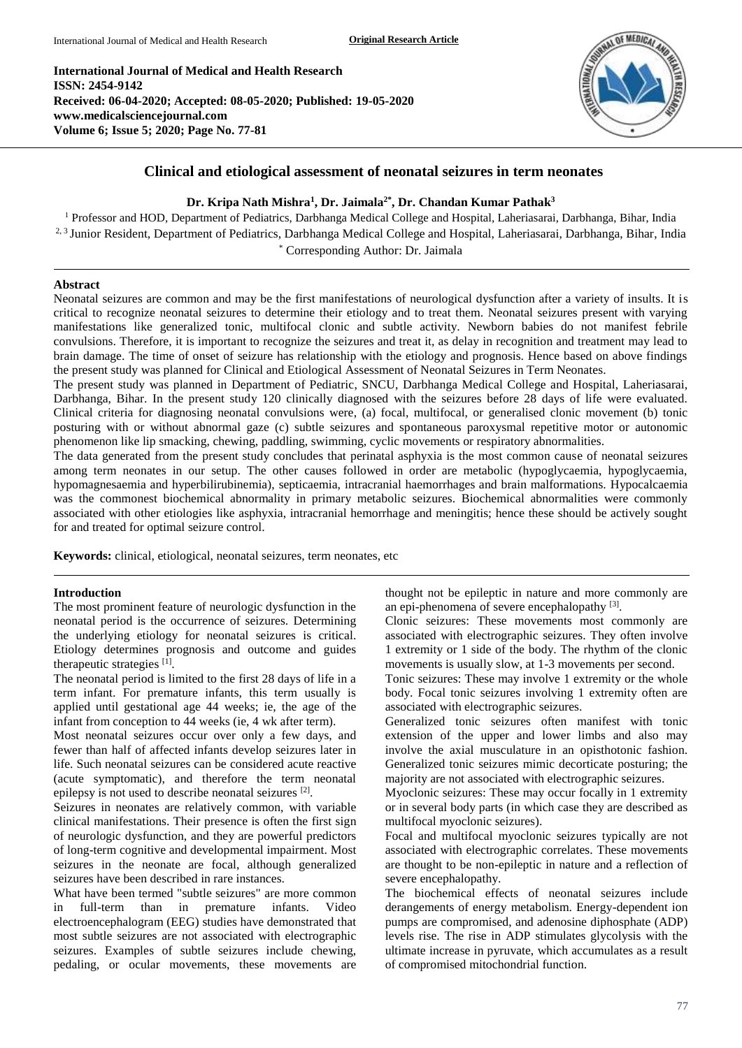**International Journal of Medical and Health Research ISSN: 2454-9142 Received: 06-04-2020; Accepted: 08-05-2020; Published: 19-05-2020 www.medicalsciencejournal.com Volume 6; Issue 5; 2020; Page No. 77-81**



# **Clinical and etiological assessment of neonatal seizures in term neonates**

# **Dr. Kripa Nath Mishra<sup>1</sup> , Dr. Jaimala2\* , Dr. Chandan Kumar Pathak<sup>3</sup>**

<sup>1</sup> Professor and HOD, Department of Pediatrics, Darbhanga Medical College and Hospital, Laheriasarai, Darbhanga, Bihar, India <sup>2, 3</sup> Junior Resident, Department of Pediatrics, Darbhanga Medical College and Hospital, Laheriasarai, Darbhanga, Bihar, India \* Corresponding Author: Dr. Jaimala

### **Abstract**

Neonatal seizures are common and may be the first manifestations of neurological dysfunction after a variety of insults. It is critical to recognize neonatal seizures to determine their etiology and to treat them. Neonatal seizures present with varying manifestations like generalized tonic, multifocal clonic and subtle activity. Newborn babies do not manifest febrile convulsions. Therefore, it is important to recognize the seizures and treat it, as delay in recognition and treatment may lead to brain damage. The time of onset of seizure has relationship with the etiology and prognosis. Hence based on above findings the present study was planned for Clinical and Etiological Assessment of Neonatal Seizures in Term Neonates.

The present study was planned in Department of Pediatric, SNCU, Darbhanga Medical College and Hospital, Laheriasarai, Darbhanga, Bihar. In the present study 120 clinically diagnosed with the seizures before 28 days of life were evaluated. Clinical criteria for diagnosing neonatal convulsions were, (a) focal, multifocal, or generalised clonic movement (b) tonic posturing with or without abnormal gaze (c) subtle seizures and spontaneous paroxysmal repetitive motor or autonomic phenomenon like lip smacking, chewing, paddling, swimming, cyclic movements or respiratory abnormalities.

The data generated from the present study concludes that perinatal asphyxia is the most common cause of neonatal seizures among term neonates in our setup. The other causes followed in order are metabolic (hypoglycaemia, hypoglycaemia, hypomagnesaemia and hyperbilirubinemia), septicaemia, intracranial haemorrhages and brain malformations. Hypocalcaemia was the commonest biochemical abnormality in primary metabolic seizures. Biochemical abnormalities were commonly associated with other etiologies like asphyxia, intracranial hemorrhage and meningitis; hence these should be actively sought for and treated for optimal seizure control.

**Keywords:** clinical, etiological, neonatal seizures, term neonates, etc

### **Introduction**

The most prominent feature of neurologic dysfunction in the neonatal period is the occurrence of seizures. Determining the underlying etiology for neonatal seizures is critical. Etiology determines prognosis and outcome and guides therapeutic strategies [1].

The neonatal period is limited to the first 28 days of life in a term infant. For premature infants, this term usually is applied until gestational age 44 weeks; ie, the age of the infant from conception to 44 weeks (ie, 4 wk after term).

Most neonatal seizures occur over only a few days, and fewer than half of affected infants develop seizures later in life. Such neonatal seizures can be considered acute reactive (acute symptomatic), and therefore the term neonatal epilepsy is not used to describe neonatal seizures [2].

Seizures in neonates are relatively common, with variable clinical manifestations. Their presence is often the first sign of neurologic dysfunction, and they are powerful predictors of long-term cognitive and developmental impairment. Most seizures in the neonate are focal, although generalized seizures have been described in rare instances.

What have been termed "subtle seizures" are more common in full-term than in premature infants. Video electroencephalogram (EEG) studies have demonstrated that most subtle seizures are not associated with electrographic seizures. Examples of subtle seizures include chewing, pedaling, or ocular movements, these movements are

thought not be epileptic in nature and more commonly are an epi-phenomena of severe encephalopathy<sup>[3]</sup>.

Clonic seizures: These movements most commonly are associated with electrographic seizures. They often involve 1 extremity or 1 side of the body. The rhythm of the clonic movements is usually slow, at 1-3 movements per second.

Tonic seizures: These may involve 1 extremity or the whole body. Focal tonic seizures involving 1 extremity often are associated with electrographic seizures.

Generalized tonic seizures often manifest with tonic extension of the upper and lower limbs and also may involve the axial musculature in an opisthotonic fashion. Generalized tonic seizures mimic decorticate posturing; the majority are not associated with electrographic seizures.

Myoclonic seizures: These may occur focally in 1 extremity or in several body parts (in which case they are described as multifocal myoclonic seizures).

Focal and multifocal myoclonic seizures typically are not associated with electrographic correlates. These movements are thought to be non-epileptic in nature and a reflection of severe encephalopathy.

The biochemical effects of neonatal seizures include derangements of energy metabolism. Energy-dependent ion pumps are compromised, and adenosine diphosphate (ADP) levels rise. The rise in ADP stimulates glycolysis with the ultimate increase in pyruvate, which accumulates as a result of compromised mitochondrial function.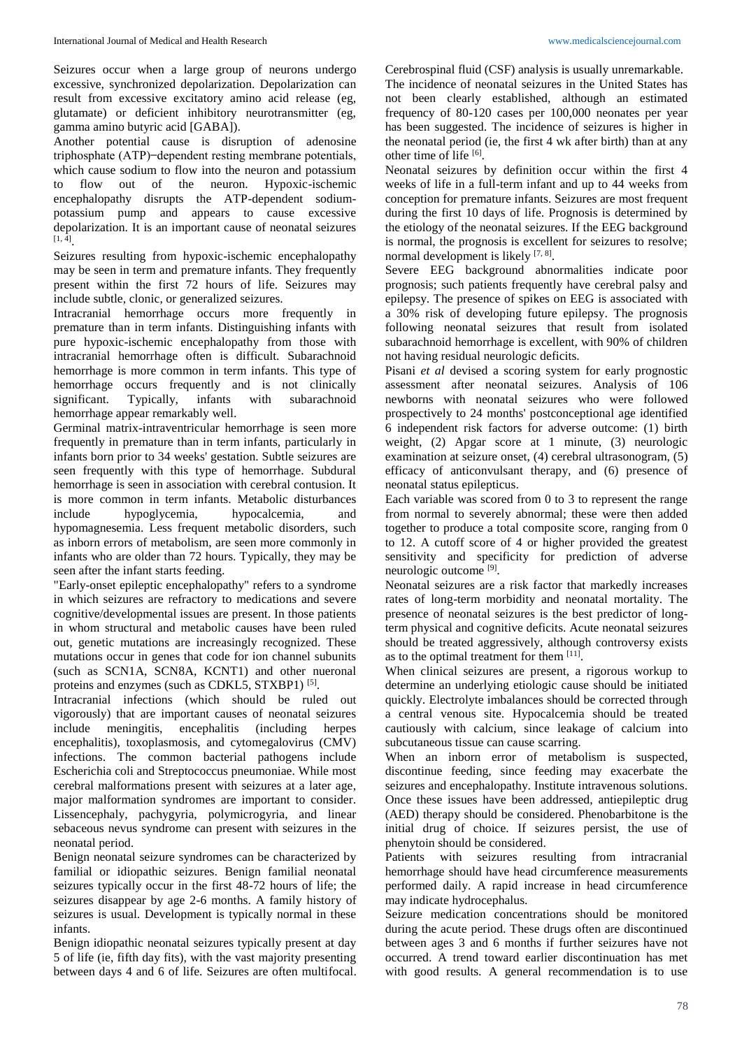Seizures occur when a large group of neurons undergo excessive, synchronized depolarization. Depolarization can result from excessive excitatory amino acid release (eg, glutamate) or deficient inhibitory neurotransmitter (eg, gamma amino butyric acid [GABA]).

Another potential cause is disruption of adenosine triphosphate (ATP) ̶ dependent resting membrane potentials, which cause sodium to flow into the neuron and potassium to flow out of the neuron. Hypoxic-ischemic encephalopathy disrupts the ATP-dependent sodiumpotassium pump and appears to cause excessive depolarization. It is an important cause of neonatal seizures  $[1, 4]$ <sub>.</sub>

Seizures resulting from hypoxic-ischemic encephalopathy may be seen in term and premature infants. They frequently present within the first 72 hours of life. Seizures may include subtle, clonic, or generalized seizures.

Intracranial hemorrhage occurs more frequently in premature than in term infants. Distinguishing infants with pure hypoxic-ischemic encephalopathy from those with intracranial hemorrhage often is difficult. Subarachnoid hemorrhage is more common in term infants. This type of hemorrhage occurs frequently and is not clinically significant. Typically, infants with subarachnoid hemorrhage appear remarkably well.

Germinal matrix-intraventricular hemorrhage is seen more frequently in premature than in term infants, particularly in infants born prior to 34 weeks' gestation. Subtle seizures are seen frequently with this type of hemorrhage. Subdural hemorrhage is seen in association with cerebral contusion. It is more common in term infants. Metabolic disturbances include hypoglycemia, hypocalcemia, and hypomagnesemia. Less frequent metabolic disorders, such as inborn errors of metabolism, are seen more commonly in infants who are older than 72 hours. Typically, they may be seen after the infant starts feeding.

"Early-onset epileptic encephalopathy" refers to a syndrome in which seizures are refractory to medications and severe cognitive/developmental issues are present. In those patients in whom structural and metabolic causes have been ruled out, genetic mutations are increasingly recognized. These mutations occur in genes that code for ion channel subunits (such as SCN1A, SCN8A, KCNT1) and other nueronal proteins and enzymes (such as CDKL5, STXBP1)<sup>[5]</sup>.

Intracranial infections (which should be ruled out vigorously) that are important causes of neonatal seizures include meningitis, encephalitis (including herpes encephalitis), toxoplasmosis, and cytomegalovirus (CMV) infections. The common bacterial pathogens include Escherichia coli and Streptococcus pneumoniae. While most cerebral malformations present with seizures at a later age, major malformation syndromes are important to consider. Lissencephaly, pachygyria, polymicrogyria, and linear sebaceous nevus syndrome can present with seizures in the neonatal period.

Benign neonatal seizure syndromes can be characterized by familial or idiopathic seizures. Benign familial neonatal seizures typically occur in the first 48-72 hours of life; the seizures disappear by age 2-6 months. A family history of seizures is usual. Development is typically normal in these infants.

Benign idiopathic neonatal seizures typically present at day 5 of life (ie, fifth day fits), with the vast majority presenting between days 4 and 6 of life. Seizures are often multifocal. Cerebrospinal fluid (CSF) analysis is usually unremarkable. The incidence of neonatal seizures in the United States has not been clearly established, although an estimated frequency of 80-120 cases per 100,000 neonates per year has been suggested. The incidence of seizures is higher in the neonatal period (ie, the first 4 wk after birth) than at any other time of life  $[6]$ .

Neonatal seizures by definition occur within the first 4 weeks of life in a full-term infant and up to 44 weeks from conception for premature infants. Seizures are most frequent during the first 10 days of life. Prognosis is determined by the etiology of the neonatal seizures. If the EEG background is normal, the prognosis is excellent for seizures to resolve; normal development is likely  $[7, 8]$ .

Severe EEG background abnormalities indicate poor prognosis; such patients frequently have cerebral palsy and epilepsy. The presence of spikes on EEG is associated with a 30% risk of developing future epilepsy. The prognosis following neonatal seizures that result from isolated subarachnoid hemorrhage is excellent, with 90% of children not having residual neurologic deficits.

Pisani *et al* devised a scoring system for early prognostic assessment after neonatal seizures. Analysis of 106 newborns with neonatal seizures who were followed prospectively to 24 months' postconceptional age identified 6 independent risk factors for adverse outcome: (1) birth weight, (2) Apgar score at 1 minute, (3) neurologic examination at seizure onset, (4) cerebral ultrasonogram, (5) efficacy of anticonvulsant therapy, and (6) presence of neonatal status epilepticus.

Each variable was scored from 0 to 3 to represent the range from normal to severely abnormal; these were then added together to produce a total composite score, ranging from 0 to 12. A cutoff score of 4 or higher provided the greatest sensitivity and specificity for prediction of adverse neurologic outcome [9] .

Neonatal seizures are a risk factor that markedly increases rates of long-term morbidity and neonatal mortality. The presence of neonatal seizures is the best predictor of longterm physical and cognitive deficits. Acute neonatal seizures should be treated aggressively, although controversy exists as to the optimal treatment for them [11].

When clinical seizures are present, a rigorous workup to determine an underlying etiologic cause should be initiated quickly. Electrolyte imbalances should be corrected through a central venous site. Hypocalcemia should be treated cautiously with calcium, since leakage of calcium into subcutaneous tissue can cause scarring.

When an inborn error of metabolism is suspected, discontinue feeding, since feeding may exacerbate the seizures and encephalopathy. Institute intravenous solutions. Once these issues have been addressed, antiepileptic drug (AED) therapy should be considered. Phenobarbitone is the initial drug of choice. If seizures persist, the use of phenytoin should be considered.

Patients with seizures resulting from intracranial hemorrhage should have head circumference measurements performed daily. A rapid increase in head circumference may indicate hydrocephalus.

Seizure medication concentrations should be monitored during the acute period. These drugs often are discontinued between ages 3 and 6 months if further seizures have not occurred. A trend toward earlier discontinuation has met with good results. A general recommendation is to use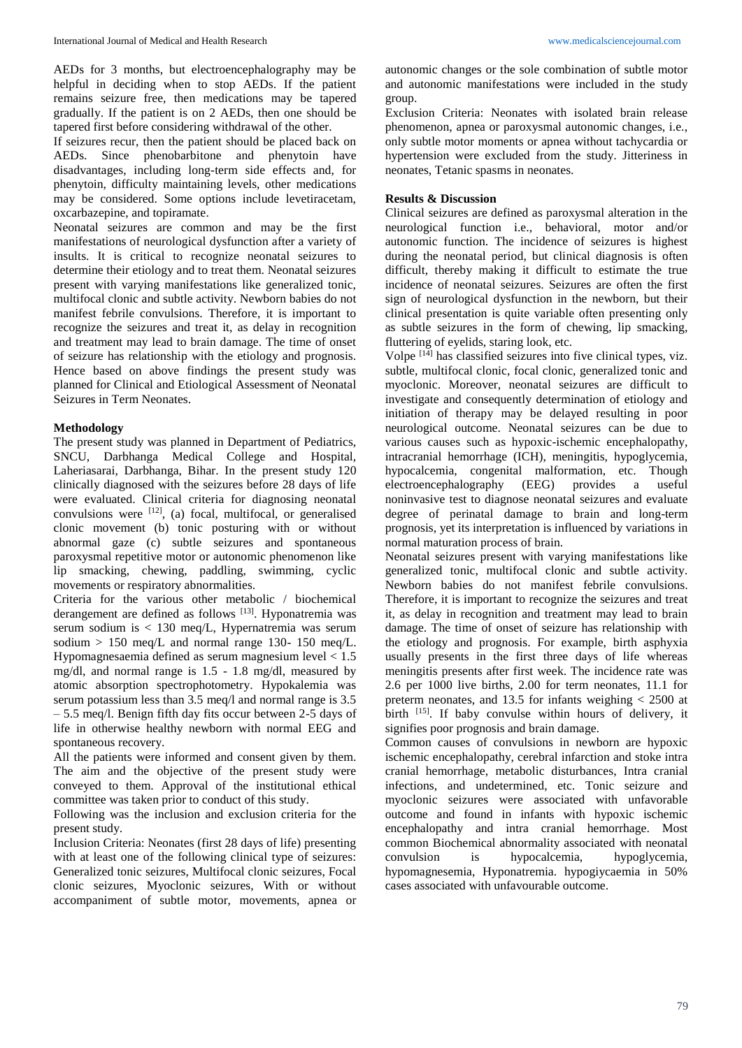AEDs for 3 months, but electroencephalography may be helpful in deciding when to stop AEDs. If the patient remains seizure free, then medications may be tapered gradually. If the patient is on 2 AEDs, then one should be tapered first before considering withdrawal of the other.

If seizures recur, then the patient should be placed back on AEDs. Since phenobarbitone and phenytoin have disadvantages, including long-term side effects and, for phenytoin, difficulty maintaining levels, other medications may be considered. Some options include levetiracetam, oxcarbazepine, and topiramate.

Neonatal seizures are common and may be the first manifestations of neurological dysfunction after a variety of insults. It is critical to recognize neonatal seizures to determine their etiology and to treat them. Neonatal seizures present with varying manifestations like generalized tonic, multifocal clonic and subtle activity. Newborn babies do not manifest febrile convulsions. Therefore, it is important to recognize the seizures and treat it, as delay in recognition and treatment may lead to brain damage. The time of onset of seizure has relationship with the etiology and prognosis. Hence based on above findings the present study was planned for Clinical and Etiological Assessment of Neonatal Seizures in Term Neonates.

## **Methodology**

The present study was planned in Department of Pediatrics, SNCU, Darbhanga Medical College and Hospital, Laheriasarai, Darbhanga, Bihar. In the present study 120 clinically diagnosed with the seizures before 28 days of life were evaluated. Clinical criteria for diagnosing neonatal convulsions were  $[12]$ , (a) focal, multifocal, or generalised clonic movement (b) tonic posturing with or without abnormal gaze (c) subtle seizures and spontaneous paroxysmal repetitive motor or autonomic phenomenon like lip smacking, chewing, paddling, swimming, cyclic movements or respiratory abnormalities.

Criteria for the various other metabolic / biochemical derangement are defined as follows [13]. Hyponatremia was serum sodium is < 130 meq/L, Hypernatremia was serum sodium  $> 150$  meq/L and normal range 130- 150 meq/L. Hypomagnesaemia defined as serum magnesium level < 1.5 mg/dl, and normal range is 1.5 - 1.8 mg/dl, measured by atomic absorption spectrophotometry. Hypokalemia was serum potassium less than 3.5 meq/l and normal range is 3.5 – 5.5 meq/l. Benign fifth day fits occur between 2-5 days of life in otherwise healthy newborn with normal EEG and spontaneous recovery.

All the patients were informed and consent given by them. The aim and the objective of the present study were conveyed to them. Approval of the institutional ethical committee was taken prior to conduct of this study.

Following was the inclusion and exclusion criteria for the present study.

Inclusion Criteria: Neonates (first 28 days of life) presenting with at least one of the following clinical type of seizures: Generalized tonic seizures, Multifocal clonic seizures, Focal clonic seizures, Myoclonic seizures, With or without accompaniment of subtle motor, movements, apnea or

autonomic changes or the sole combination of subtle motor and autonomic manifestations were included in the study group.

Exclusion Criteria: Neonates with isolated brain release phenomenon, apnea or paroxysmal autonomic changes, i.e., only subtle motor moments or apnea without tachycardia or hypertension were excluded from the study. Jitteriness in neonates, Tetanic spasms in neonates.

## **Results & Discussion**

Clinical seizures are defined as paroxysmal alteration in the neurological function i.e., behavioral, motor and/or autonomic function. The incidence of seizures is highest during the neonatal period, but clinical diagnosis is often difficult, thereby making it difficult to estimate the true incidence of neonatal seizures. Seizures are often the first sign of neurological dysfunction in the newborn, but their clinical presentation is quite variable often presenting only as subtle seizures in the form of chewing, lip smacking, fluttering of eyelids, staring look, etc.

Volpe [14] has classified seizures into five clinical types, viz. subtle, multifocal clonic, focal clonic, generalized tonic and myoclonic. Moreover, neonatal seizures are difficult to investigate and consequently determination of etiology and initiation of therapy may be delayed resulting in poor neurological outcome. Neonatal seizures can be due to various causes such as hypoxic-ischemic encephalopathy, intracranial hemorrhage (ICH), meningitis, hypoglycemia, hypocalcemia, congenital malformation, etc. Though electroencephalography (EEG) provides a useful noninvasive test to diagnose neonatal seizures and evaluate degree of perinatal damage to brain and long-term prognosis, yet its interpretation is influenced by variations in normal maturation process of brain.

Neonatal seizures present with varying manifestations like generalized tonic, multifocal clonic and subtle activity. Newborn babies do not manifest febrile convulsions. Therefore, it is important to recognize the seizures and treat it, as delay in recognition and treatment may lead to brain damage. The time of onset of seizure has relationship with the etiology and prognosis. For example, birth asphyxia usually presents in the first three days of life whereas meningitis presents after first week. The incidence rate was 2.6 per 1000 live births, 2.00 for term neonates, 11.1 for preterm neonates, and 13.5 for infants weighing < 2500 at birth [15]. If baby convulse within hours of delivery, it signifies poor prognosis and brain damage.

Common causes of convulsions in newborn are hypoxic ischemic encephalopathy, cerebral infarction and stoke intra cranial hemorrhage, metabolic disturbances, Intra cranial infections, and undetermined, etc. Tonic seizure and myoclonic seizures were associated with unfavorable outcome and found in infants with hypoxic ischemic encephalopathy and intra cranial hemorrhage. Most common Biochemical abnormality associated with neonatal convulsion is hypocalcemia, hypoglycemia, hypomagnesemia, Hyponatremia. hypogiycaemia in 50% cases associated with unfavourable outcome.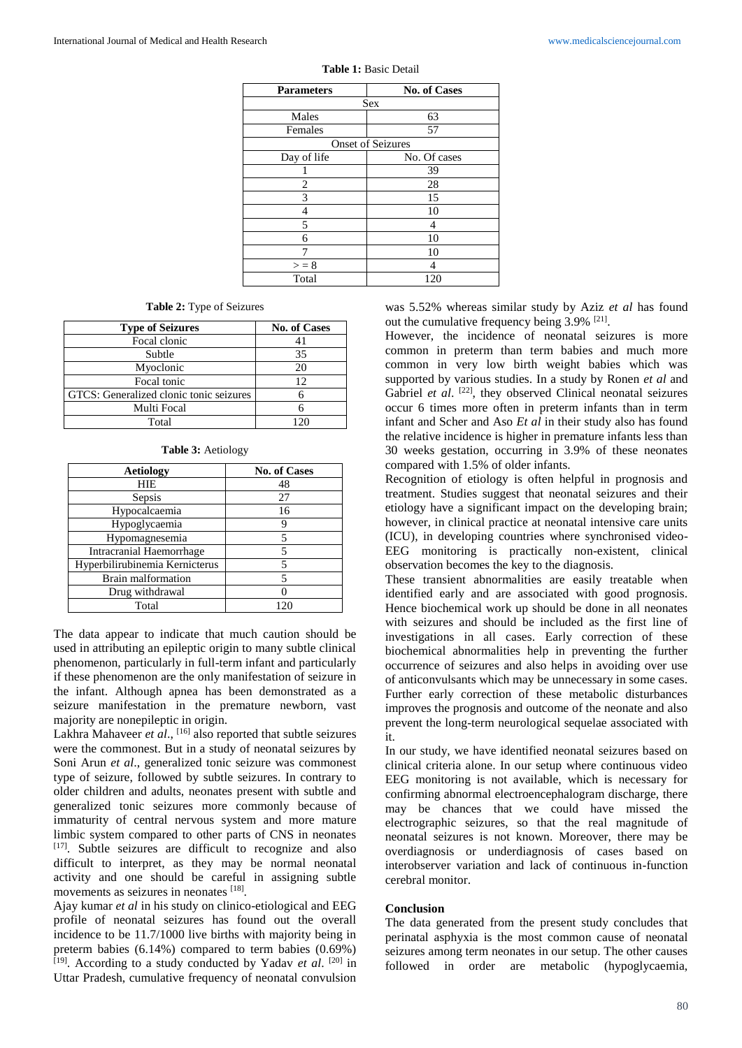| <b>Parameters</b>        | <b>No. of Cases</b> |  |
|--------------------------|---------------------|--|
| Sex                      |                     |  |
| Males                    | 63                  |  |
| Females                  | 57                  |  |
| <b>Onset of Seizures</b> |                     |  |
| Day of life              | No. Of cases        |  |
|                          | 39                  |  |
| 2                        | 28                  |  |
| 3                        | 15                  |  |
|                          | 10                  |  |
| 5                        | Δ                   |  |
| б                        | 10                  |  |
|                          | 10                  |  |
| > 8                      |                     |  |
| Total                    | 120                 |  |

#### **Table 1:** Basic Detail

### **Table 2:** Type of Seizures

| <b>Type of Seizures</b>                        | <b>No. of Cases</b> |
|------------------------------------------------|---------------------|
| Focal clonic                                   |                     |
| Subtle                                         | 35                  |
| Myoclonic                                      | 20                  |
| Focal tonic                                    | 12                  |
| <b>GTCS:</b> Generalized clonic tonic seizures |                     |
| Multi Focal                                    |                     |
| Total                                          |                     |

#### **Table 3:** Aetiology

| <b>Aetiology</b>               | <b>No. of Cases</b> |
|--------------------------------|---------------------|
| <b>HIE</b>                     | 48                  |
| Sepsis                         | 27                  |
| Hypocalcaemia                  | 16                  |
| Hypoglycaemia                  |                     |
| Hypomagnesemia                 |                     |
| Intracranial Haemorrhage       |                     |
| Hyperbilirubinemia Kernicterus |                     |
| Brain malformation             |                     |
| Drug withdrawal                |                     |
| Total                          | 120                 |

The data appear to indicate that much caution should be used in attributing an epileptic origin to many subtle clinical phenomenon, particularly in full-term infant and particularly if these phenomenon are the only manifestation of seizure in the infant. Although apnea has been demonstrated as a seizure manifestation in the premature newborn, vast majority are nonepileptic in origin.

Lakhra Mahaveer *et al*., [16] also reported that subtle seizures were the commonest. But in a study of neonatal seizures by Soni Arun *et al*., generalized tonic seizure was commonest type of seizure, followed by subtle seizures. In contrary to older children and adults, neonates present with subtle and generalized tonic seizures more commonly because of immaturity of central nervous system and more mature limbic system compared to other parts of CNS in neonates [17]. Subtle seizures are difficult to recognize and also difficult to interpret, as they may be normal neonatal activity and one should be careful in assigning subtle movements as seizures in neonates [18].

Ajay kumar *et al* in his study on clinico-etiological and EEG profile of neonatal seizures has found out the overall incidence to be 11.7/1000 live births with majority being in preterm babies (6.14%) compared to term babies (0.69%) <sup>[19]</sup>. According to a study conducted by Yadav *et al.* <sup>[20]</sup> in Uttar Pradesh, cumulative frequency of neonatal convulsion

was 5.52% whereas similar study by Aziz *et al* has found out the cumulative frequency being 3.9% <sup>[21]</sup>.

However, the incidence of neonatal seizures is more common in preterm than term babies and much more common in very low birth weight babies which was supported by various studies. In a study by Ronen *et al* and Gabriel *et al.* <sup>[22]</sup>, they observed Clinical neonatal seizures occur 6 times more often in preterm infants than in term infant and Scher and Aso *Et al* in their study also has found the relative incidence is higher in premature infants less than 30 weeks gestation, occurring in 3.9% of these neonates compared with 1.5% of older infants.

Recognition of etiology is often helpful in prognosis and treatment. Studies suggest that neonatal seizures and their etiology have a significant impact on the developing brain; however, in clinical practice at neonatal intensive care units (ICU), in developing countries where synchronised video-EEG monitoring is practically non-existent, clinical observation becomes the key to the diagnosis.

These transient abnormalities are easily treatable when identified early and are associated with good prognosis. Hence biochemical work up should be done in all neonates with seizures and should be included as the first line of investigations in all cases. Early correction of these biochemical abnormalities help in preventing the further occurrence of seizures and also helps in avoiding over use of anticonvulsants which may be unnecessary in some cases. Further early correction of these metabolic disturbances improves the prognosis and outcome of the neonate and also prevent the long-term neurological sequelae associated with it.

In our study, we have identified neonatal seizures based on clinical criteria alone. In our setup where continuous video EEG monitoring is not available, which is necessary for confirming abnormal electroencephalogram discharge, there may be chances that we could have missed the electrographic seizures, so that the real magnitude of neonatal seizures is not known. Moreover, there may be overdiagnosis or underdiagnosis of cases based on interobserver variation and lack of continuous in-function cerebral monitor.

## **Conclusion**

The data generated from the present study concludes that perinatal asphyxia is the most common cause of neonatal seizures among term neonates in our setup. The other causes followed in order are metabolic (hypoglycaemia,